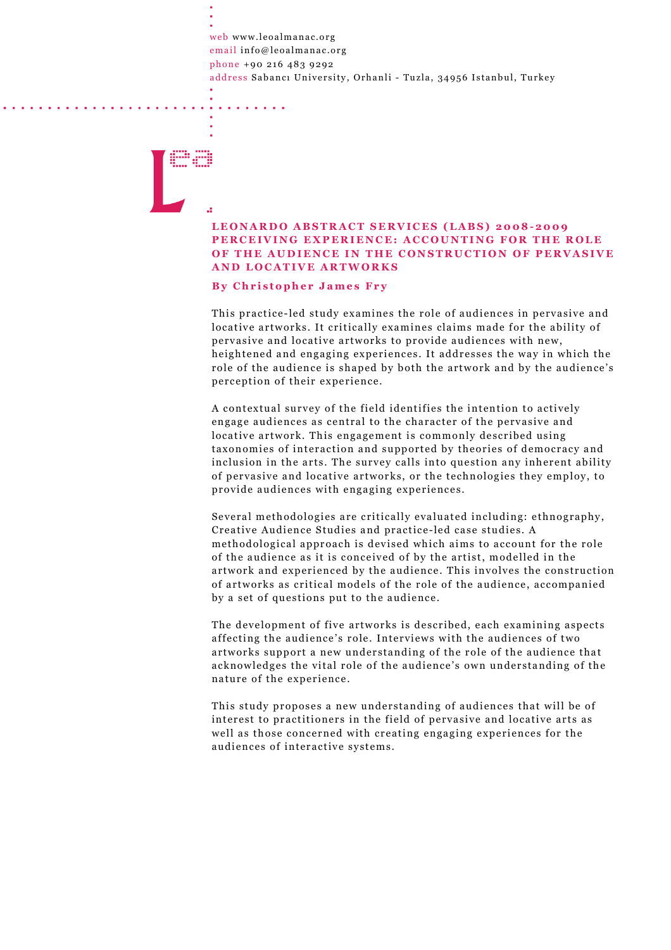web www.leoalmanac.org email info@leoalmanac.org phone +90 216 483 9292 address Sabancı University, Orhanli - Tuzla, 34956 Istanbul, Turkey

# LEONARDO ABSTRACT SERVICES (LABS) 2008-2009 **PERCEIVING EXPERIENCE: ACCOUNTING FOR THE ROLE OF THE AUDIENCE IN THE CONSTRUCTION OF PERVASIVE AND LOCATIVE ARTWORKS**

### **By Christopher James Fry**

This practice-led study examines the role of audiences in pervasive and locative artworks. It critically examines claims made for the ability of pervasive and locative artworks to provide audiences with new, heightened and engaging experiences. It addresses the way in which the role of the audience is shaped by both the artwork and by the audience's perception of their experience.

A contextual survey of the field identifies the intention to actively engage audiences as central to the character of the pervasive and locative artwork. This engagement is commonly described using taxonomies of interaction and supported by theories of democracy and inclusion in the arts. The survey calls into question any inherent ability of pervasive and locative artworks, or the technologies they employ, to provide audiences with engaging experiences.

Several methodologies are critically evaluated including: ethnography, Creative Audience Studies and practice-led case studies. A methodological approach is devised which aims to account for the role of the audience as it is conceived of by the artist, modelled in the artwork and experienced by the audience. This involves the construction of artworks as critical models of the role of the audience, accompanied by a set of questions put to the audience.

The development of five artworks is described, each examining aspects affecting the audience's role. Interviews with the audiences of two artworks support a new understanding of the role of the audience that acknowledges the vital role of the audience's own understanding of the nature of the experience.

This study proposes a new understanding of audiences that will be of interest to practitioners in the field of pervasive and locative arts as well as those concerned with creating engaging experiences for the audiences of interactive systems.